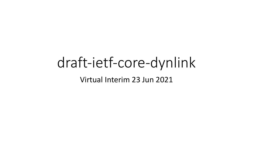# draft-ietf-core-dynlink Virtual Interim 23 Jun 2021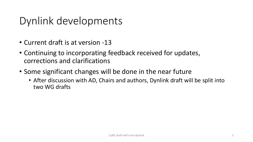## Dynlink developments

- Current draft is at version -13
- Continuing to incorporating feedback received for updates, corrections and clarifications
- Some significant changes will be done in the near future
	- After discussion with AD, Chairs and authors, Dynlink draft will be split into two WG drafts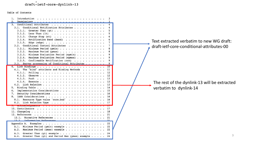#### $dratt-ietf-core-dynlink-13$

Table of Contents

| Introduction<br>Terminology .<br>.<br>Conditional Notification Attributes<br>3.1.<br>3.1.1.<br>Greater Than $(qt)$<br>3.1.2.<br>Less Than $(1t)$<br>3.1.3.<br>Change Step (st) $\ldots$<br>Notification Band (band)<br>3.1.4.<br>3.1.5.<br>3.2. Conditional Control Attributes<br>3.2.1.<br>Minimum Period (pmin)<br>3.2.2.<br>Maximum Period (pmax)<br>Minimum Evaluation Period (epmin)<br>3.2.3.<br>3.2.4.<br>Maximum Evaluation Period (epmax)<br>Confirmable Notification (con) $\cdots$<br>3.2.5.<br>Server processing of Conditional Attributes<br>3.3.<br>"bind" attribute and Binding Methods $\ldots$<br>The<br>4.1.<br>11<br>4.1.1. | Text extracted verbatim to new WG draft:<br>draft-ietf-core-conditional-attributes-00 |
|------------------------------------------------------------------------------------------------------------------------------------------------------------------------------------------------------------------------------------------------------------------------------------------------------------------------------------------------------------------------------------------------------------------------------------------------------------------------------------------------------------------------------------------------------------------------------------------------------------------------------------------------|---------------------------------------------------------------------------------------|
| 4.1.2.<br>4.1.3.<br>4.1.4.<br>13<br>Implementation Considerations<br>Security Considerations 16<br>Resource Type value 'core.bnd' 16<br>8.1.<br>8.2. Link Relation Type                                                                                                                                                                                                                                                                                                                                                                                                                                                                        | The rest of the dynlink-13 will be extracted<br>verbatim to dynlink-14                |
| ACAILOW LEUGEMENTS<br>10. Contributors<br>12.1.<br>Normative References<br>12 <sub>2</sub><br>Informative Deferences                                                                                                                                                                                                                                                                                                                                                                                                                                                                                                                           |                                                                                       |
| Minimum Period (pmin) example<br>22<br>A.1.<br>Maximum Period (pmax) example<br>22<br>A.2.<br>A.3.<br>24<br>Greater Than (gt) and Period Max (pmax) example 24<br>A.4.                                                                                                                                                                                                                                                                                                                                                                                                                                                                         |                                                                                       |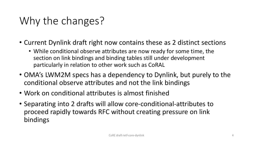## Why the changes?

- Current Dynlink draft right now contains these as 2 distinct sections
	- While conditional observe attributes are now ready for some time, the section on link bindings and binding tables still under development particularly in relation to other work such as CoRAL
- OMA's LWM2M specs has a dependency to Dynlink, but purely to the conditional observe attributes and not the link bindings
- Work on conditional attributes is almost finished
- Separating into 2 drafts will allow core-conditional-attributes to proceed rapidly towards RFC without creating pressure on link bindings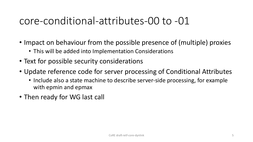### core-conditional-attributes-00 to -01

- Impact on behaviour from the possible presence of (multiple) proxies
	- This will be added into Implementation Considerations
- Text for possible security considerations
- Update reference code for server processing of Conditional Attributes
	- Include also a state machine to describe server-side processing, for example with epmin and epmax
- Then ready for WG last call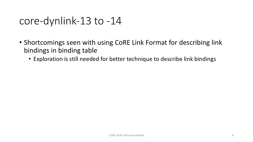### core-dynlink-13 to -14

- Shortcomings seen with using CoRE Link Format for describing link bindings in binding table
	- Exploration is still needed for better technique to describe link bindings